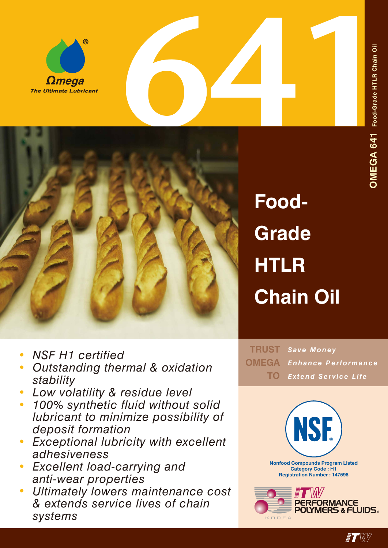



**Food-Grade HTLR Chain Oil**

- *• NSF H1 certified*
- *• Outstanding thermal & oxidation stability*
- *• Low volatility & residue level*
- *• 100% synthetic fluid without solid lubricant to minimize possibility of deposit formation*
- *• Exceptional lubricity with excellent adhesiveness*
- *• Excellent load-carrying and anti-wear properties*
- *• Ultimately lowers maintenance cost & extends service lives of chain systems*

*Save Money* **TRUST** *Enhance Performance Extend Service Life* **OMEGA TO**